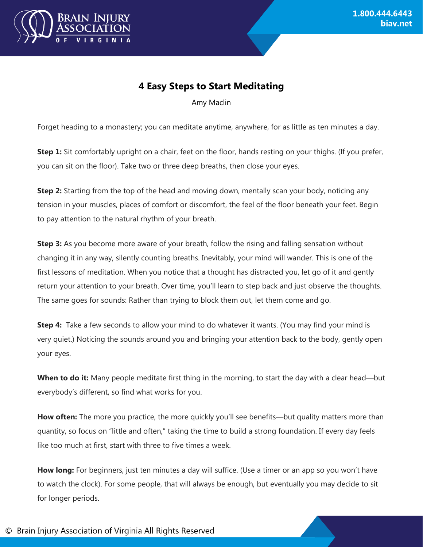

## **4 Easy Steps to Start Meditating**

Amy Maclin

Forget heading to a monastery; you can meditate anytime, anywhere, for as little as ten minutes a day.

**Step 1:** Sit comfortably upright on a chair, feet on the floor, hands resting on your thighs. (If you prefer, you can sit on the floor). Take two or three deep breaths, then close your eyes.

**Step 2:** Starting from the top of the head and moving down, mentally scan your body, noticing any tension in your muscles, places of comfort or discomfort, the feel of the floor beneath your feet. Begin to pay attention to the natural rhythm of your breath.

**Step 3:** As you become more aware of your breath, follow the rising and falling sensation without changing it in any way, silently counting breaths. Inevitably, your mind will wander. This is one of the first lessons of meditation. When you notice that a thought has distracted you, let go of it and gently return your attention to your breath. Over time, you'll learn to step back and just observe the thoughts. The same goes for sounds: Rather than trying to block them out, let them come and go.

**Step 4:** Take a few seconds to allow your mind to do whatever it wants. (You may find your mind is very quiet.) Noticing the sounds around you and bringing your attention back to the body, gently open your eyes.

When to do it: Many people meditate first thing in the morning, to start the day with a clear head—but everybody's different, so find what works for you.

**How often:** The more you practice, the more quickly you'll see benefits—but quality matters more than quantity, so focus on "little and often," taking the time to build a strong foundation. If every day feels like too much at first, start with three to five times a week.

**How long:** For beginners, just ten minutes a day will suffice. (Use a timer or an app so you won't have to watch the clock). For some people, that will always be enough, but eventually you may decide to sit for longer periods.